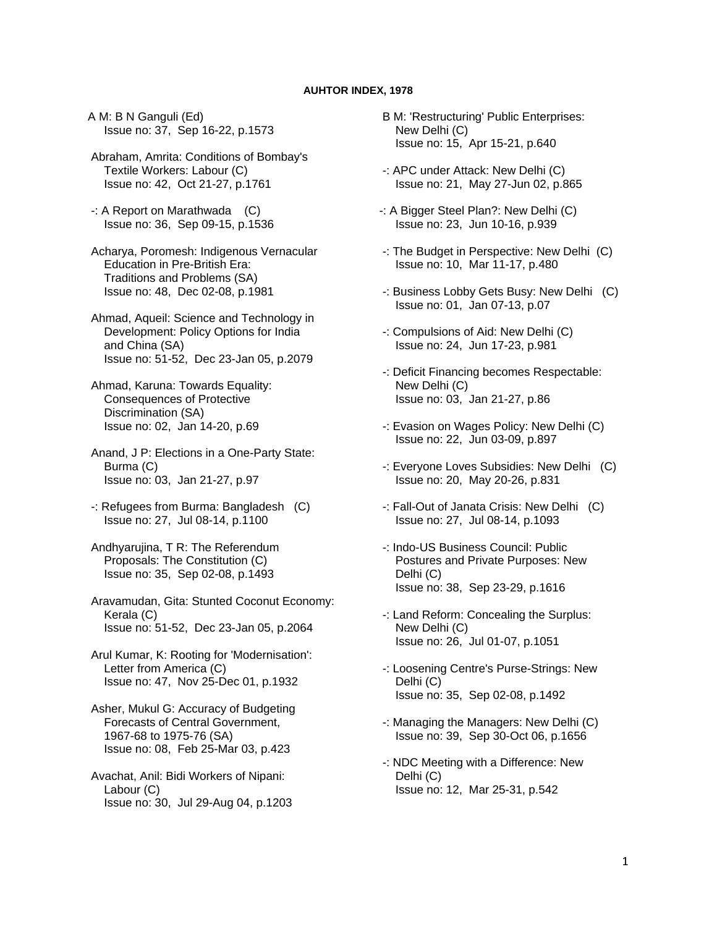## **AUHTOR INDEX, 1978**

A M: B N Ganguli (Ed) Issue no: 37, Sep 16-22, p.1573

 Abraham, Amrita: Conditions of Bombay's Textile Workers: Labour (C) Issue no: 42, Oct 21-27, p.1761

 -: A Report on Marathwada (C) Issue no: 36, Sep 09-15, p.1536

 Acharya, Poromesh: Indigenous Vernacular Education in Pre-British Era: Traditions and Problems (SA) Issue no: 48, Dec 02-08, p.1981

 Ahmad, Aqueil: Science and Technology in Development: Policy Options for India and China (SA) Issue no: 51-52, Dec 23-Jan 05, p.2079

 Ahmad, Karuna: Towards Equality: Consequences of Protective Discrimination (SA) Issue no: 02, Jan 14-20, p.69

 Anand, J P: Elections in a One-Party State: Burma (C) Issue no: 03, Jan 21-27, p.97

 -: Refugees from Burma: Bangladesh (C) Issue no: 27, Jul 08-14, p.1100

 Andhyarujina, T R: The Referendum Proposals: The Constitution (C) Issue no: 35, Sep 02-08, p.1493

 Aravamudan, Gita: Stunted Coconut Economy: Kerala (C) Issue no: 51-52, Dec 23-Jan 05, p.2064

 Arul Kumar, K: Rooting for 'Modernisation': Letter from America (C) Issue no: 47, Nov 25-Dec 01, p.1932

 Asher, Mukul G: Accuracy of Budgeting Forecasts of Central Government, 1967-68 to 1975-76 (SA) Issue no: 08, Feb 25-Mar 03, p.423

 Avachat, Anil: Bidi Workers of Nipani: Labour (C) Issue no: 30, Jul 29-Aug 04, p.1203  B M: 'Restructuring' Public Enterprises: New Delhi (C) Issue no: 15, Apr 15-21, p.640

- -: APC under Attack: New Delhi (C) Issue no: 21, May 27-Jun 02, p.865
- -: A Bigger Steel Plan?: New Delhi (C) Issue no: 23, Jun 10-16, p.939
- -: The Budget in Perspective: New Delhi (C) Issue no: 10, Mar 11-17, p.480
- -: Business Lobby Gets Busy: New Delhi (C) Issue no: 01, Jan 07-13, p.07
- -: Compulsions of Aid: New Delhi (C) Issue no: 24, Jun 17-23, p.981
- -: Deficit Financing becomes Respectable: New Delhi (C) Issue no: 03, Jan 21-27, p.86
- -: Evasion on Wages Policy: New Delhi (C) Issue no: 22, Jun 03-09, p.897
- -: Everyone Loves Subsidies: New Delhi (C) Issue no: 20, May 20-26, p.831
- -: Fall-Out of Janata Crisis: New Delhi (C) Issue no: 27, Jul 08-14, p.1093
- -: Indo-US Business Council: Public Postures and Private Purposes: New Delhi (C) Issue no: 38, Sep 23-29, p.1616
- -: Land Reform: Concealing the Surplus: New Delhi (C) Issue no: 26, Jul 01-07, p.1051
- -: Loosening Centre's Purse-Strings: New Delhi (C) Issue no: 35, Sep 02-08, p.1492
- -: Managing the Managers: New Delhi (C) Issue no: 39, Sep 30-Oct 06, p.1656
- -: NDC Meeting with a Difference: New Delhi (C) Issue no: 12, Mar 25-31, p.542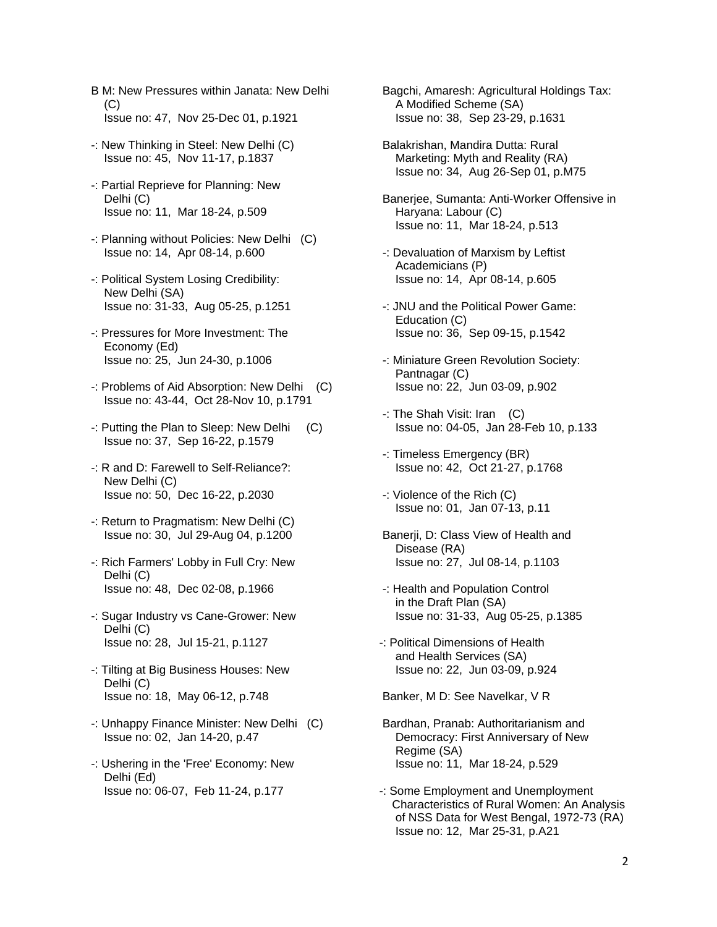- B M: New Pressures within Janata: New Delhi  $(C)$ Issue no: 47, Nov 25-Dec 01, p.1921
- -: New Thinking in Steel: New Delhi (C) Issue no: 45, Nov 11-17, p.1837
- -: Partial Reprieve for Planning: New Delhi (C) Issue no: 11, Mar 18-24, p.509
- -: Planning without Policies: New Delhi (C) Issue no: 14, Apr 08-14, p.600
- -: Political System Losing Credibility: New Delhi (SA) Issue no: 31-33, Aug 05-25, p.1251
- -: Pressures for More Investment: The Economy (Ed) Issue no: 25, Jun 24-30, p.1006
- -: Problems of Aid Absorption: New Delhi (C) Issue no: 43-44, Oct 28-Nov 10, p.1791
- -: Putting the Plan to Sleep: New Delhi (C) Issue no: 37, Sep 16-22, p.1579
- -: R and D: Farewell to Self-Reliance?: New Delhi (C) Issue no: 50, Dec 16-22, p.2030
- -: Return to Pragmatism: New Delhi (C) Issue no: 30, Jul 29-Aug 04, p.1200
- -: Rich Farmers' Lobby in Full Cry: New Delhi (C) Issue no: 48, Dec 02-08, p.1966
- -: Sugar Industry vs Cane-Grower: New Delhi (C) Issue no: 28, Jul 15-21, p.1127
- -: Tilting at Big Business Houses: New Delhi (C) Issue no: 18, May 06-12, p.748
- -: Unhappy Finance Minister: New Delhi (C) Issue no: 02, Jan 14-20, p.47
- -: Ushering in the 'Free' Economy: New Delhi (Ed) Issue no: 06-07, Feb 11-24, p.177
- Bagchi, Amaresh: Agricultural Holdings Tax: A Modified Scheme (SA) Issue no: 38, Sep 23-29, p.1631
- Balakrishan, Mandira Dutta: Rural Marketing: Myth and Reality (RA) Issue no: 34, Aug 26-Sep 01, p.M75
- Banerjee, Sumanta: Anti-Worker Offensive in Haryana: Labour (C) Issue no: 11, Mar 18-24, p.513
- -: Devaluation of Marxism by Leftist Academicians (P) Issue no: 14, Apr 08-14, p.605
- -: JNU and the Political Power Game: Education (C) Issue no: 36, Sep 09-15, p.1542
- -: Miniature Green Revolution Society: Pantnagar (C) Issue no: 22, Jun 03-09, p.902
- -: The Shah Visit: Iran (C) Issue no: 04-05, Jan 28-Feb 10, p.133
- -: Timeless Emergency (BR) Issue no: 42, Oct 21-27, p.1768
- -: Violence of the Rich (C) Issue no: 01, Jan 07-13, p.11
- Banerji, D: Class View of Health and Disease (RA) Issue no: 27, Jul 08-14, p.1103
- -: Health and Population Control in the Draft Plan (SA) Issue no: 31-33, Aug 05-25, p.1385
- -: Political Dimensions of Health and Health Services (SA) Issue no: 22, Jun 03-09, p.924

Banker, M D: See Navelkar, V R

- Bardhan, Pranab: Authoritarianism and Democracy: First Anniversary of New Regime (SA) Issue no: 11, Mar 18-24, p.529
- -: Some Employment and Unemployment Characteristics of Rural Women: An Analysis of NSS Data for West Bengal, 1972-73 (RA) Issue no: 12, Mar 25-31, p.A21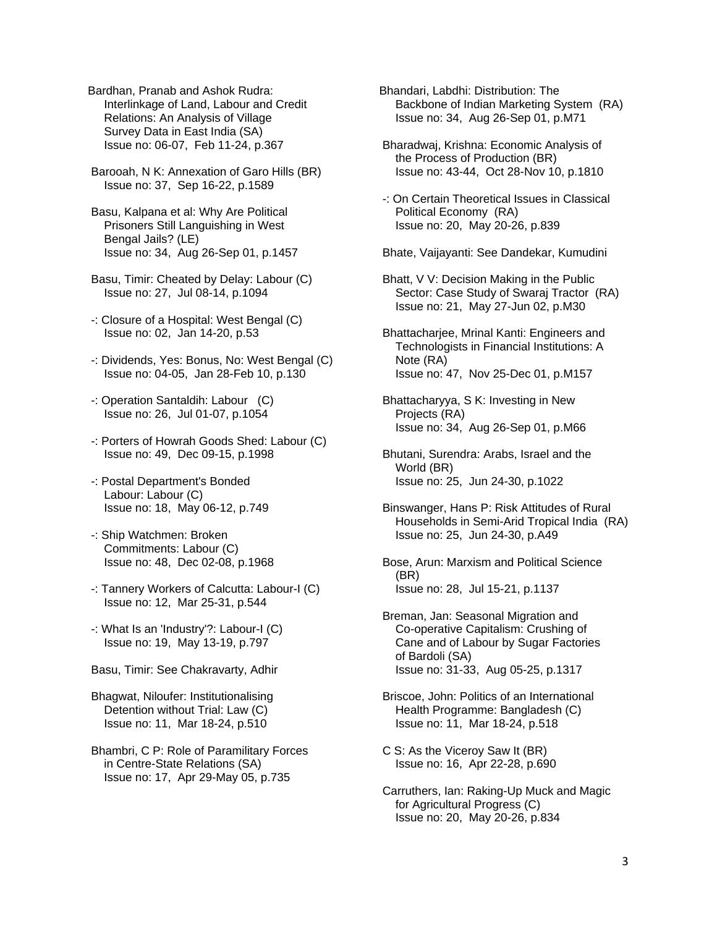Bardhan, Pranab and Ashok Rudra: Interlinkage of Land, Labour and Credit Relations: An Analysis of Village Survey Data in East India (SA) Issue no: 06-07, Feb 11-24, p.367

 Barooah, N K: Annexation of Garo Hills (BR) Issue no: 37, Sep 16-22, p.1589

- Basu, Kalpana et al: Why Are Political Prisoners Still Languishing in West Bengal Jails? (LE) Issue no: 34, Aug 26-Sep 01, p.1457
- Basu, Timir: Cheated by Delay: Labour (C) Issue no: 27, Jul 08-14, p.1094
- -: Closure of a Hospital: West Bengal (C) Issue no: 02, Jan 14-20, p.53
- -: Dividends, Yes: Bonus, No: West Bengal (C) Issue no: 04-05, Jan 28-Feb 10, p.130
- -: Operation Santaldih: Labour (C) Issue no: 26, Jul 01-07, p.1054
- -: Porters of Howrah Goods Shed: Labour (C) Issue no: 49, Dec 09-15, p.1998
- -: Postal Department's Bonded Labour: Labour (C) Issue no: 18, May 06-12, p.749
- -: Ship Watchmen: Broken Commitments: Labour (C) Issue no: 48, Dec 02-08, p.1968
- -: Tannery Workers of Calcutta: Labour-I (C) Issue no: 12, Mar 25-31, p.544
- -: What Is an 'Industry'?: Labour-I (C) Issue no: 19, May 13-19, p.797
- Basu, Timir: See Chakravarty, Adhir
- Bhagwat, Niloufer: Institutionalising Detention without Trial: Law (C) Issue no: 11, Mar 18-24, p.510
- Bhambri, C P: Role of Paramilitary Forces in Centre-State Relations (SA) Issue no: 17, Apr 29-May 05, p.735

Bhandari, Labdhi: Distribution: The Backbone of Indian Marketing System (RA) Issue no: 34, Aug 26-Sep 01, p.M71

 Bharadwaj, Krishna: Economic Analysis of the Process of Production (BR) Issue no: 43-44, Oct 28-Nov 10, p.1810

 -: On Certain Theoretical Issues in Classical Political Economy (RA) Issue no: 20, May 20-26, p.839

Bhate, Vaijayanti: See Dandekar, Kumudini

- Bhatt, V V: Decision Making in the Public Sector: Case Study of Swaraj Tractor (RA) Issue no: 21, May 27-Jun 02, p.M30
- Bhattacharjee, Mrinal Kanti: Engineers and Technologists in Financial Institutions: A Note (RA) Issue no: 47, Nov 25-Dec 01, p.M157
- Bhattacharyya, S K: Investing in New Projects (RA) Issue no: 34, Aug 26-Sep 01, p.M66
- Bhutani, Surendra: Arabs, Israel and the World (BR) Issue no: 25, Jun 24-30, p.1022
- Binswanger, Hans P: Risk Attitudes of Rural Households in Semi-Arid Tropical India (RA) Issue no: 25, Jun 24-30, p.A49
- Bose, Arun: Marxism and Political Science (BR) Issue no: 28, Jul 15-21, p.1137
- Breman, Jan: Seasonal Migration and Co-operative Capitalism: Crushing of Cane and of Labour by Sugar Factories of Bardoli (SA) Issue no: 31-33, Aug 05-25, p.1317
- Briscoe, John: Politics of an International Health Programme: Bangladesh (C) Issue no: 11, Mar 18-24, p.518
- C S: As the Viceroy Saw It (BR) Issue no: 16, Apr 22-28, p.690
- Carruthers, Ian: Raking-Up Muck and Magic for Agricultural Progress (C) Issue no: 20, May 20-26, p.834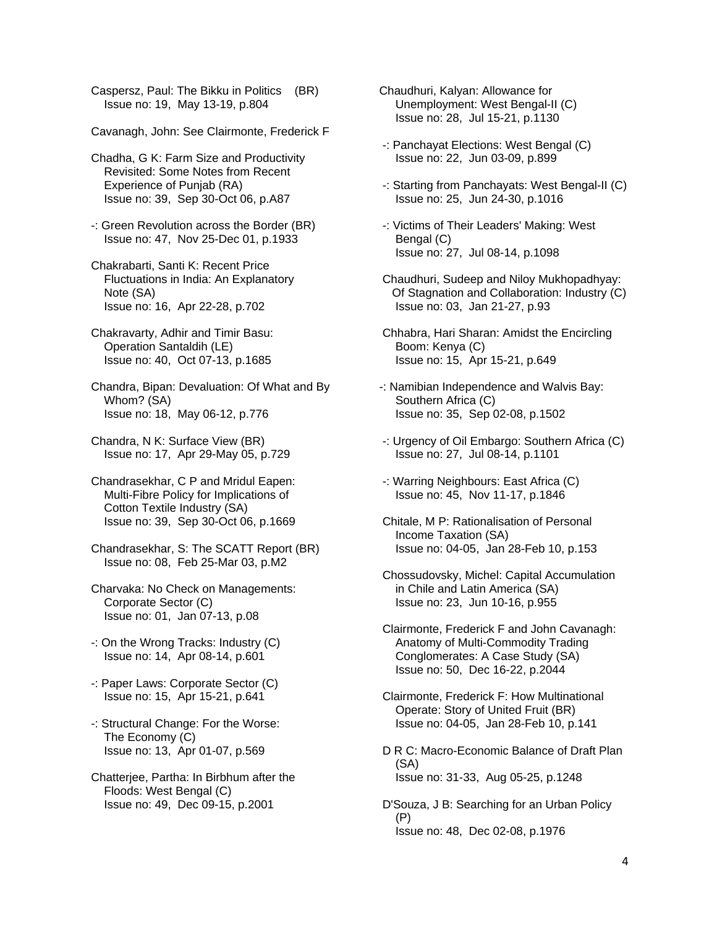Caspersz, Paul: The Bikku in Politics (BR) Issue no: 19, May 13-19, p.804

- Cavanagh, John: See Clairmonte, Frederick F
- Chadha, G K: Farm Size and Productivity Revisited: Some Notes from Recent Experience of Punjab (RA) Issue no: 39, Sep 30-Oct 06, p.A87
- -: Green Revolution across the Border (BR) Issue no: 47, Nov 25-Dec 01, p.1933
- Chakrabarti, Santi K: Recent Price Fluctuations in India: An Explanatory Note (SA) Issue no: 16, Apr 22-28, p.702
- Chakravarty, Adhir and Timir Basu: Operation Santaldih (LE) Issue no: 40, Oct 07-13, p.1685
- Chandra, Bipan: Devaluation: Of What and By Whom? (SA) Issue no: 18, May 06-12, p.776
- Chandra, N K: Surface View (BR) Issue no: 17, Apr 29-May 05, p.729
- Chandrasekhar, C P and Mridul Eapen: Multi-Fibre Policy for Implications of Cotton Textile Industry (SA) Issue no: 39, Sep 30-Oct 06, p.1669
- Chandrasekhar, S: The SCATT Report (BR) Issue no: 08, Feb 25-Mar 03, p.M2
- Charvaka: No Check on Managements: Corporate Sector (C) Issue no: 01, Jan 07-13, p.08
- -: On the Wrong Tracks: Industry (C) Issue no: 14, Apr 08-14, p.601
- -: Paper Laws: Corporate Sector (C) Issue no: 15, Apr 15-21, p.641
- -: Structural Change: For the Worse: The Economy (C) Issue no: 13, Apr 01-07, p.569
- Chatterjee, Partha: In Birbhum after the Floods: West Bengal (C) Issue no: 49, Dec 09-15, p.2001
- Chaudhuri, Kalyan: Allowance for Unemployment: West Bengal-II (C) Issue no: 28, Jul 15-21, p.1130
- -: Panchayat Elections: West Bengal (C) Issue no: 22, Jun 03-09, p.899
- -: Starting from Panchayats: West Bengal-II (C) Issue no: 25, Jun 24-30, p.1016
- -: Victims of Their Leaders' Making: West Bengal (C) Issue no: 27, Jul 08-14, p.1098
- Chaudhuri, Sudeep and Niloy Mukhopadhyay: Of Stagnation and Collaboration: Industry (C) Issue no: 03, Jan 21-27, p.93
- Chhabra, Hari Sharan: Amidst the Encircling Boom: Kenya (C) Issue no: 15, Apr 15-21, p.649
- -: Namibian Independence and Walvis Bay: Southern Africa (C) Issue no: 35, Sep 02-08, p.1502
- -: Urgency of Oil Embargo: Southern Africa (C) Issue no: 27, Jul 08-14, p.1101
- -: Warring Neighbours: East Africa (C) Issue no: 45, Nov 11-17, p.1846
- Chitale, M P: Rationalisation of Personal Income Taxation (SA) Issue no: 04-05, Jan 28-Feb 10, p.153
- Chossudovsky, Michel: Capital Accumulation in Chile and Latin America (SA) Issue no: 23, Jun 10-16, p.955
- Clairmonte, Frederick F and John Cavanagh: Anatomy of Multi-Commodity Trading Conglomerates: A Case Study (SA) Issue no: 50, Dec 16-22, p.2044
- Clairmonte, Frederick F: How Multinational Operate: Story of United Fruit (BR) Issue no: 04-05, Jan 28-Feb 10, p.141
- D R C: Macro-Economic Balance of Draft Plan (SA) Issue no: 31-33, Aug 05-25, p.1248
- D'Souza, J B: Searching for an Urban Policy (P) Issue no: 48, Dec 02-08, p.1976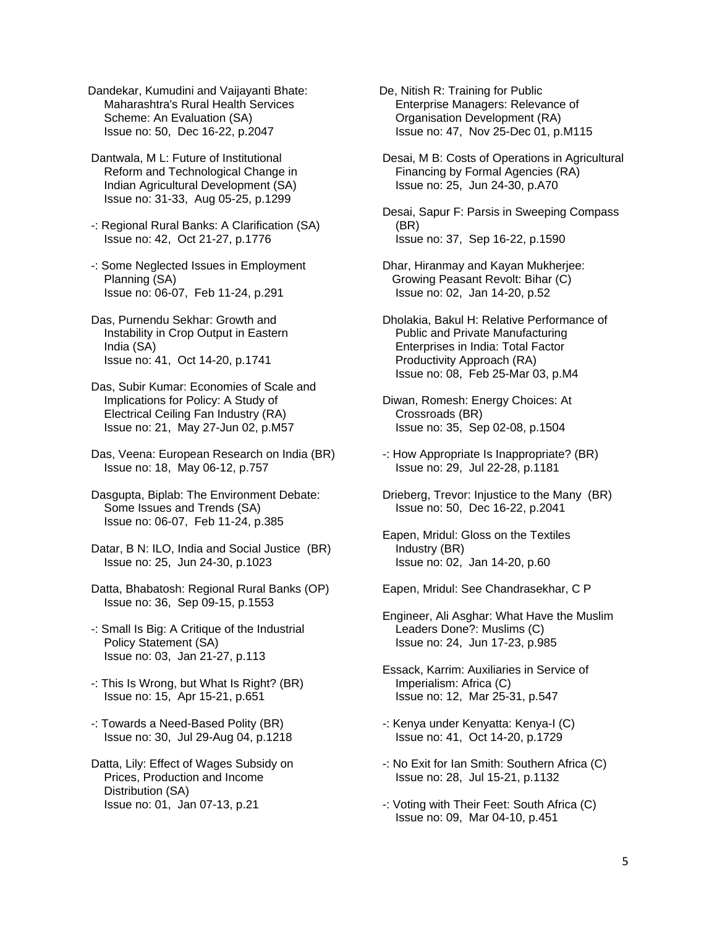Dandekar, Kumudini and Vaijayanti Bhate: Maharashtra's Rural Health Services Scheme: An Evaluation (SA) Issue no: 50, Dec 16-22, p.2047

 Dantwala, M L: Future of Institutional Reform and Technological Change in Indian Agricultural Development (SA) Issue no: 31-33, Aug 05-25, p.1299

 -: Regional Rural Banks: A Clarification (SA) Issue no: 42, Oct 21-27, p.1776

 -: Some Neglected Issues in Employment Planning (SA) Issue no: 06-07, Feb 11-24, p.291

 Das, Purnendu Sekhar: Growth and Instability in Crop Output in Eastern India (SA) Issue no: 41, Oct 14-20, p.1741

 Das, Subir Kumar: Economies of Scale and Implications for Policy: A Study of Electrical Ceiling Fan Industry (RA) Issue no: 21, May 27-Jun 02, p.M57

 Das, Veena: European Research on India (BR) Issue no: 18, May 06-12, p.757

 Dasgupta, Biplab: The Environment Debate: Some Issues and Trends (SA) Issue no: 06-07, Feb 11-24, p.385

 Datar, B N: ILO, India and Social Justice (BR) Issue no: 25, Jun 24-30, p.1023

 Datta, Bhabatosh: Regional Rural Banks (OP) Issue no: 36, Sep 09-15, p.1553

 -: Small Is Big: A Critique of the Industrial Policy Statement (SA) Issue no: 03, Jan 21-27, p.113

 -: This Is Wrong, but What Is Right? (BR) Issue no: 15, Apr 15-21, p.651

 -: Towards a Need-Based Polity (BR) Issue no: 30, Jul 29-Aug 04, p.1218

 Datta, Lily: Effect of Wages Subsidy on Prices, Production and Income Distribution (SA) Issue no: 01, Jan 07-13, p.21

De, Nitish R: Training for Public Enterprise Managers: Relevance of Organisation Development (RA) Issue no: 47, Nov 25-Dec 01, p.M115

 Desai, M B: Costs of Operations in Agricultural Financing by Formal Agencies (RA) Issue no: 25, Jun 24-30, p.A70

 Desai, Sapur F: Parsis in Sweeping Compass (BR) Issue no: 37, Sep 16-22, p.1590

 Dhar, Hiranmay and Kayan Mukherjee: Growing Peasant Revolt: Bihar (C) Issue no: 02, Jan 14-20, p.52

 Dholakia, Bakul H: Relative Performance of Public and Private Manufacturing Enterprises in India: Total Factor Productivity Approach (RA) Issue no: 08, Feb 25-Mar 03, p.M4

 Diwan, Romesh: Energy Choices: At Crossroads (BR) Issue no: 35, Sep 02-08, p.1504

 -: How Appropriate Is Inappropriate? (BR) Issue no: 29, Jul 22-28, p.1181

 Drieberg, Trevor: Injustice to the Many (BR) Issue no: 50, Dec 16-22, p.2041

 Eapen, Mridul: Gloss on the Textiles Industry (BR) Issue no: 02, Jan 14-20, p.60

Eapen, Mridul: See Chandrasekhar, C P

 Engineer, Ali Asghar: What Have the Muslim Leaders Done?: Muslims (C) Issue no: 24, Jun 17-23, p.985

 Essack, Karrim: Auxiliaries in Service of Imperialism: Africa (C) Issue no: 12, Mar 25-31, p.547

 -: Kenya under Kenyatta: Kenya-I (C) Issue no: 41, Oct 14-20, p.1729

 -: No Exit for Ian Smith: Southern Africa (C) Issue no: 28, Jul 15-21, p.1132

 -: Voting with Their Feet: South Africa (C) Issue no: 09, Mar 04-10, p.451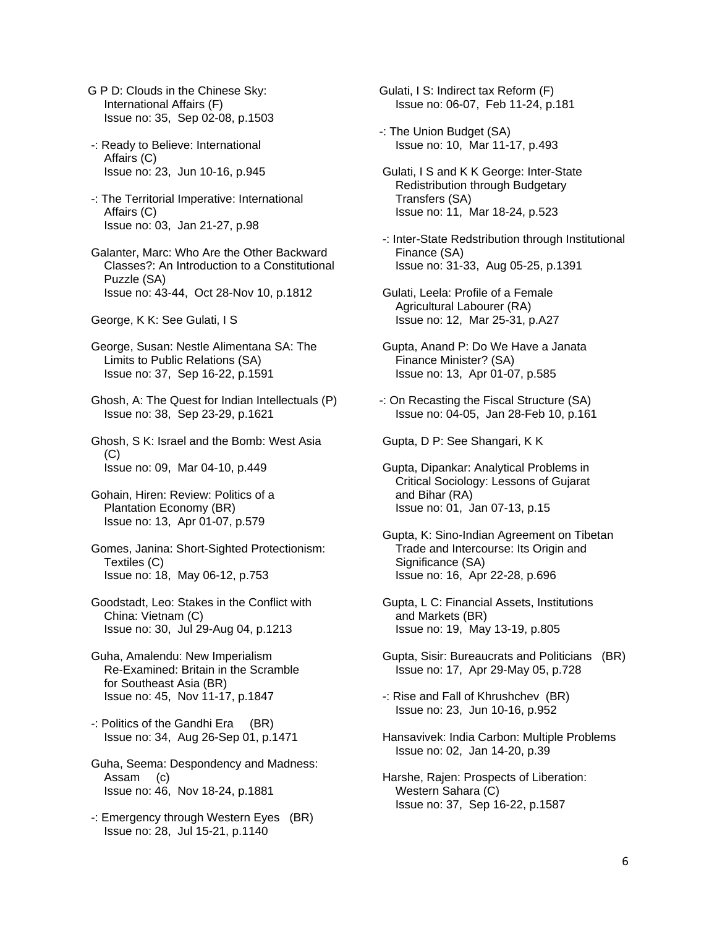- G P D: Clouds in the Chinese Sky: International Affairs (F) Issue no: 35, Sep 02-08, p.1503
- -: Ready to Believe: International Affairs (C) Issue no: 23, Jun 10-16, p.945
- -: The Territorial Imperative: International Affairs (C) Issue no: 03, Jan 21-27, p.98
- Galanter, Marc: Who Are the Other Backward Classes?: An Introduction to a Constitutional Puzzle (SA) Issue no: 43-44, Oct 28-Nov 10, p.1812
- George, K K: See Gulati, I S

 George, Susan: Nestle Alimentana SA: The Limits to Public Relations (SA) Issue no: 37, Sep 16-22, p.1591

 Ghosh, A: The Quest for Indian Intellectuals (P) Issue no: 38, Sep 23-29, p.1621

 Ghosh, S K: Israel and the Bomb: West Asia  $(C)$ Issue no: 09, Mar 04-10, p.449

 Gohain, Hiren: Review: Politics of a Plantation Economy (BR) Issue no: 13, Apr 01-07, p.579

 Gomes, Janina: Short-Sighted Protectionism: Textiles (C) Issue no: 18, May 06-12, p.753

- Goodstadt, Leo: Stakes in the Conflict with China: Vietnam (C) Issue no: 30, Jul 29-Aug 04, p.1213
- Guha, Amalendu: New Imperialism Re-Examined: Britain in the Scramble for Southeast Asia (BR) Issue no: 45, Nov 11-17, p.1847
- -: Politics of the Gandhi Era (BR) Issue no: 34, Aug 26-Sep 01, p.1471
- Guha, Seema: Despondency and Madness: Assam (c) Issue no: 46, Nov 18-24, p.1881
- -: Emergency through Western Eyes (BR) Issue no: 28, Jul 15-21, p.1140

Gulati, I S: Indirect tax Reform (F) Issue no: 06-07, Feb 11-24, p.181

- -: The Union Budget (SA) Issue no: 10, Mar 11-17, p.493
- Gulati, I S and K K George: Inter-State Redistribution through Budgetary Transfers (SA) Issue no: 11, Mar 18-24, p.523
- -: Inter-State Redstribution through Institutional Finance (SA) Issue no: 31-33, Aug 05-25, p.1391
- Gulati, Leela: Profile of a Female Agricultural Labourer (RA) Issue no: 12, Mar 25-31, p.A27
- Gupta, Anand P: Do We Have a Janata Finance Minister? (SA) Issue no: 13, Apr 01-07, p.585
- -: On Recasting the Fiscal Structure (SA) Issue no: 04-05, Jan 28-Feb 10, p.161

Gupta, D P: See Shangari, K K

- Gupta, Dipankar: Analytical Problems in Critical Sociology: Lessons of Gujarat and Bihar (RA) Issue no: 01, Jan 07-13, p.15
- Gupta, K: Sino-Indian Agreement on Tibetan Trade and Intercourse: Its Origin and Significance (SA) Issue no: 16, Apr 22-28, p.696
- Gupta, L C: Financial Assets, Institutions and Markets (BR) Issue no: 19, May 13-19, p.805
- Gupta, Sisir: Bureaucrats and Politicians (BR) Issue no: 17, Apr 29-May 05, p.728
- -: Rise and Fall of Khrushchev (BR) Issue no: 23, Jun 10-16, p.952
- Hansavivek: India Carbon: Multiple Problems Issue no: 02, Jan 14-20, p.39
- Harshe, Rajen: Prospects of Liberation: Western Sahara (C) Issue no: 37, Sep 16-22, p.1587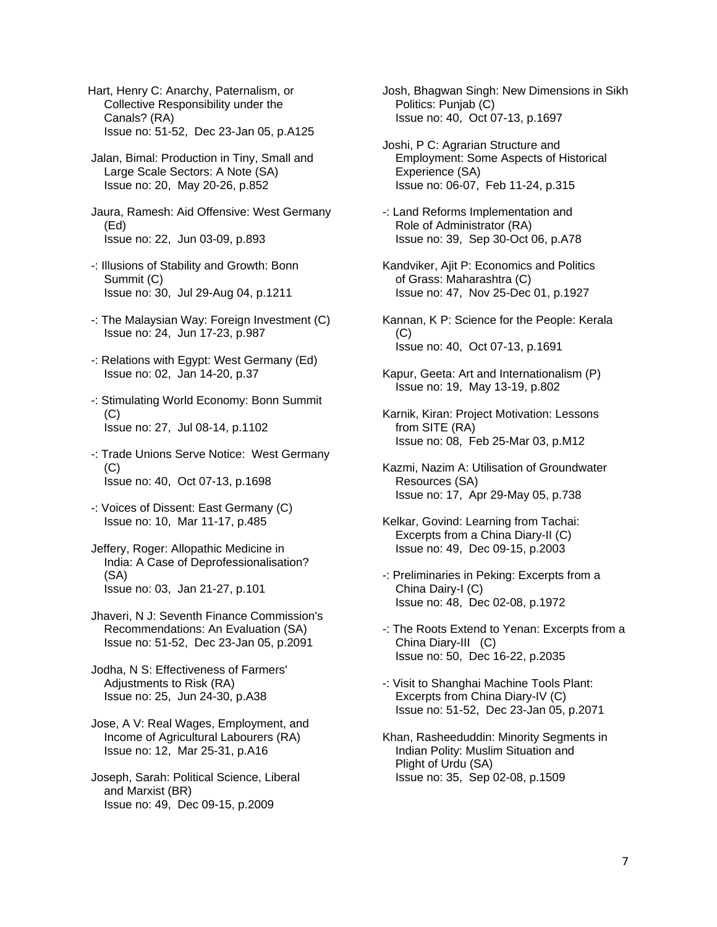Hart, Henry C: Anarchy, Paternalism, or Collective Responsibility under the Canals? (RA) Issue no: 51-52, Dec 23-Jan 05, p.A125

 Jalan, Bimal: Production in Tiny, Small and Large Scale Sectors: A Note (SA) Issue no: 20, May 20-26, p.852

 Jaura, Ramesh: Aid Offensive: West Germany (Ed) Issue no: 22, Jun 03-09, p.893

- -: Illusions of Stability and Growth: Bonn Summit (C) Issue no: 30, Jul 29-Aug 04, p.1211
- -: The Malaysian Way: Foreign Investment (C) Issue no: 24, Jun 17-23, p.987
- -: Relations with Egypt: West Germany (Ed) Issue no: 02, Jan 14-20, p.37
- -: Stimulating World Economy: Bonn Summit  $(C)$ Issue no: 27, Jul 08-14, p.1102
- -: Trade Unions Serve Notice: West Germany (C) Issue no: 40, Oct 07-13, p.1698
- -: Voices of Dissent: East Germany (C) Issue no: 10, Mar 11-17, p.485
- Jeffery, Roger: Allopathic Medicine in India: A Case of Deprofessionalisation? (SA) Issue no: 03, Jan 21-27, p.101

 Jhaveri, N J: Seventh Finance Commission's Recommendations: An Evaluation (SA) Issue no: 51-52, Dec 23-Jan 05, p.2091

 Jodha, N S: Effectiveness of Farmers' Adjustments to Risk (RA) Issue no: 25, Jun 24-30, p.A38

 Jose, A V: Real Wages, Employment, and Income of Agricultural Labourers (RA) Issue no: 12, Mar 25-31, p.A16

 Joseph, Sarah: Political Science, Liberal and Marxist (BR) Issue no: 49, Dec 09-15, p.2009

 Josh, Bhagwan Singh: New Dimensions in Sikh Politics: Punjab (C) Issue no: 40, Oct 07-13, p.1697

- Joshi, P C: Agrarian Structure and Employment: Some Aspects of Historical Experience (SA) Issue no: 06-07, Feb 11-24, p.315
- -: Land Reforms Implementation and Role of Administrator (RA) Issue no: 39, Sep 30-Oct 06, p.A78
- Kandviker, Ajit P: Economics and Politics of Grass: Maharashtra (C) Issue no: 47, Nov 25-Dec 01, p.1927
- Kannan, K P: Science for the People: Kerala  $(C)$ Issue no: 40, Oct 07-13, p.1691
- Kapur, Geeta: Art and Internationalism (P) Issue no: 19, May 13-19, p.802
- Karnik, Kiran: Project Motivation: Lessons from SITE (RA) Issue no: 08, Feb 25-Mar 03, p.M12
- Kazmi, Nazim A: Utilisation of Groundwater Resources (SA) Issue no: 17, Apr 29-May 05, p.738
- Kelkar, Govind: Learning from Tachai: Excerpts from a China Diary-II (C) Issue no: 49, Dec 09-15, p.2003
- -: Preliminaries in Peking: Excerpts from a China Dairy-I (C) Issue no: 48, Dec 02-08, p.1972
- -: The Roots Extend to Yenan: Excerpts from a China Diary-III (C) Issue no: 50, Dec 16-22, p.2035
- -: Visit to Shanghai Machine Tools Plant: Excerpts from China Diary-IV (C) Issue no: 51-52, Dec 23-Jan 05, p.2071
- Khan, Rasheeduddin: Minority Segments in Indian Polity: Muslim Situation and Plight of Urdu (SA) Issue no: 35, Sep 02-08, p.1509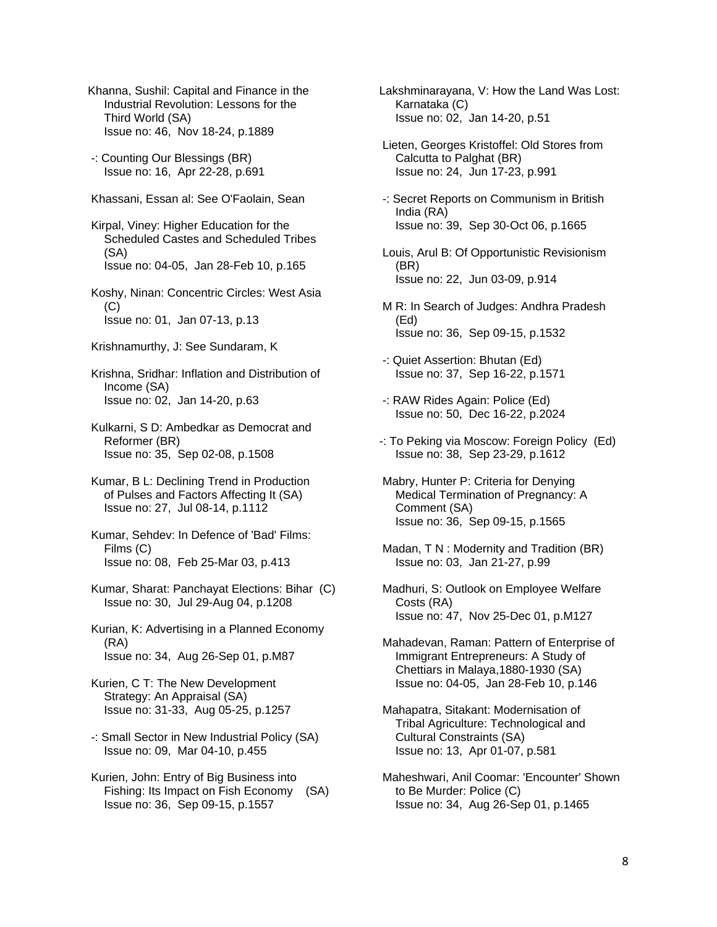- Khanna, Sushil: Capital and Finance in the Industrial Revolution: Lessons for the Third World (SA) Issue no: 46, Nov 18-24, p.1889
- -: Counting Our Blessings (BR) Issue no: 16, Apr 22-28, p.691
- Khassani, Essan al: See O'Faolain, Sean
- Kirpal, Viney: Higher Education for the Scheduled Castes and Scheduled Tribes (SA) Issue no: 04-05, Jan 28-Feb 10, p.165
- Koshy, Ninan: Concentric Circles: West Asia  $(C)$ Issue no: 01, Jan 07-13, p.13
- Krishnamurthy, J: See Sundaram, K
- Krishna, Sridhar: Inflation and Distribution of Income (SA) Issue no: 02, Jan 14-20, p.63
- Kulkarni, S D: Ambedkar as Democrat and Reformer (BR) Issue no: 35, Sep 02-08, p.1508
- Kumar, B L: Declining Trend in Production of Pulses and Factors Affecting It (SA) Issue no: 27, Jul 08-14, p.1112
- Kumar, Sehdev: In Defence of 'Bad' Films: Films (C) Issue no: 08, Feb 25-Mar 03, p.413
- Kumar, Sharat: Panchayat Elections: Bihar (C) Issue no: 30, Jul 29-Aug 04, p.1208
- Kurian, K: Advertising in a Planned Economy (RA) Issue no: 34, Aug 26-Sep 01, p.M87
- Kurien, C T: The New Development Strategy: An Appraisal (SA) Issue no: 31-33, Aug 05-25, p.1257
- -: Small Sector in New Industrial Policy (SA) Issue no: 09, Mar 04-10, p.455
- Kurien, John: Entry of Big Business into Fishing: Its Impact on Fish Economy (SA) Issue no: 36, Sep 09-15, p.1557
- Lakshminarayana, V: How the Land Was Lost: Karnataka (C) Issue no: 02, Jan 14-20, p.51
- Lieten, Georges Kristoffel: Old Stores from Calcutta to Palghat (BR) Issue no: 24, Jun 17-23, p.991
- -: Secret Reports on Communism in British India (RA) Issue no: 39, Sep 30-Oct 06, p.1665
- Louis, Arul B: Of Opportunistic Revisionism (BR) Issue no: 22, Jun 03-09, p.914
- M R: In Search of Judges: Andhra Pradesh (Ed) Issue no: 36, Sep 09-15, p.1532
- -: Quiet Assertion: Bhutan (Ed) Issue no: 37, Sep 16-22, p.1571
- -: RAW Rides Again: Police (Ed) Issue no: 50, Dec 16-22, p.2024
- -: To Peking via Moscow: Foreign Policy (Ed) Issue no: 38, Sep 23-29, p.1612
- Mabry, Hunter P: Criteria for Denying Medical Termination of Pregnancy: A Comment (SA) Issue no: 36, Sep 09-15, p.1565
- Madan, T N : Modernity and Tradition (BR) Issue no: 03, Jan 21-27, p.99
- Madhuri, S: Outlook on Employee Welfare Costs (RA) Issue no: 47, Nov 25-Dec 01, p.M127
- Mahadevan, Raman: Pattern of Enterprise of Immigrant Entrepreneurs: A Study of Chettiars in Malaya,1880-1930 (SA) Issue no: 04-05, Jan 28-Feb 10, p.146
- Mahapatra, Sitakant: Modernisation of Tribal Agriculture: Technological and Cultural Constraints (SA) Issue no: 13, Apr 01-07, p.581
- Maheshwari, Anil Coomar: 'Encounter' Shown to Be Murder: Police (C) Issue no: 34, Aug 26-Sep 01, p.1465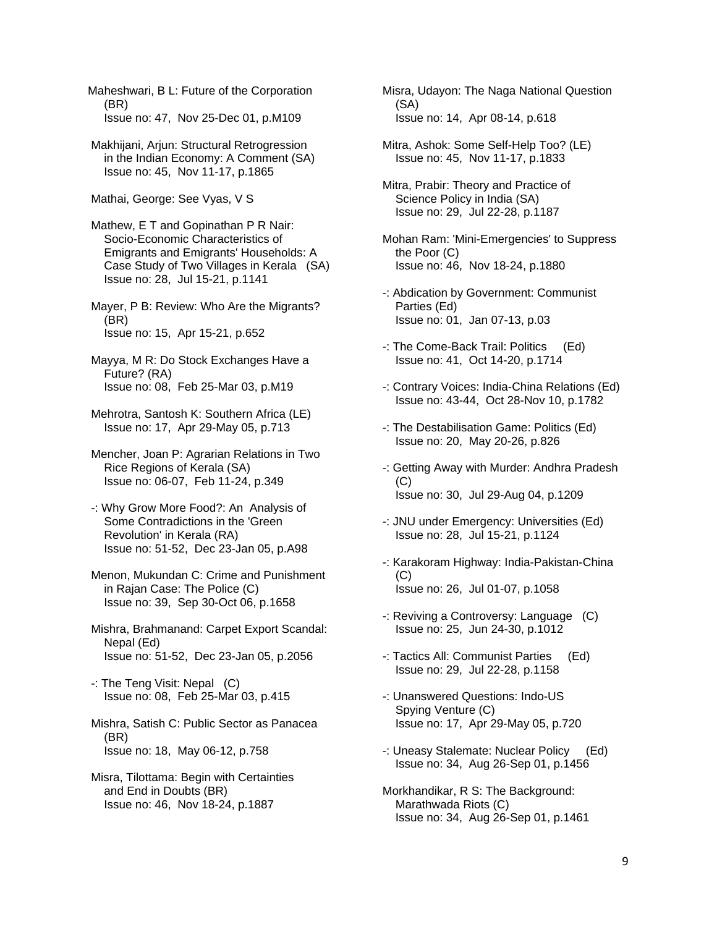Maheshwari, B L: Future of the Corporation (BR) Issue no: 47, Nov 25-Dec 01, p.M109

 Makhijani, Arjun: Structural Retrogression in the Indian Economy: A Comment (SA) Issue no: 45, Nov 11-17, p.1865

Mathai, George: See Vyas, V S

 Mathew, E T and Gopinathan P R Nair: Socio-Economic Characteristics of Emigrants and Emigrants' Households: A Case Study of Two Villages in Kerala (SA) Issue no: 28, Jul 15-21, p.1141

 Mayer, P B: Review: Who Are the Migrants? (BR) Issue no: 15, Apr 15-21, p.652

 Mayya, M R: Do Stock Exchanges Have a Future? (RA) Issue no: 08, Feb 25-Mar 03, p.M19

 Mehrotra, Santosh K: Southern Africa (LE) Issue no: 17, Apr 29-May 05, p.713

 Mencher, Joan P: Agrarian Relations in Two Rice Regions of Kerala (SA) Issue no: 06-07, Feb 11-24, p.349

 -: Why Grow More Food?: An Analysis of Some Contradictions in the 'Green Revolution' in Kerala (RA) Issue no: 51-52, Dec 23-Jan 05, p.A98

 Menon, Mukundan C: Crime and Punishment in Rajan Case: The Police (C) Issue no: 39, Sep 30-Oct 06, p.1658

 Mishra, Brahmanand: Carpet Export Scandal: Nepal (Ed) Issue no: 51-52, Dec 23-Jan 05, p.2056

 -: The Teng Visit: Nepal (C) Issue no: 08, Feb 25-Mar 03, p.415

 Mishra, Satish C: Public Sector as Panacea (BR) Issue no: 18, May 06-12, p.758

 Misra, Tilottama: Begin with Certainties and End in Doubts (BR) Issue no: 46, Nov 18-24, p.1887

 Misra, Udayon: The Naga National Question (SA) Issue no: 14, Apr 08-14, p.618

 Mitra, Ashok: Some Self-Help Too? (LE) Issue no: 45, Nov 11-17, p.1833

 Mitra, Prabir: Theory and Practice of Science Policy in India (SA) Issue no: 29, Jul 22-28, p.1187

 Mohan Ram: 'Mini-Emergencies' to Suppress the Poor (C) Issue no: 46, Nov 18-24, p.1880

 -: Abdication by Government: Communist Parties (Ed) Issue no: 01, Jan 07-13, p.03

 -: The Come-Back Trail: Politics (Ed) Issue no: 41, Oct 14-20, p.1714

 -: Contrary Voices: India-China Relations (Ed) Issue no: 43-44, Oct 28-Nov 10, p.1782

- -: The Destabilisation Game: Politics (Ed) Issue no: 20, May 20-26, p.826
- -: Getting Away with Murder: Andhra Pradesh  $(C)$ Issue no: 30, Jul 29-Aug 04, p.1209
- -: JNU under Emergency: Universities (Ed) Issue no: 28, Jul 15-21, p.1124
- -: Karakoram Highway: India-Pakistan-China  $(C)$ Issue no: 26, Jul 01-07, p.1058
- -: Reviving a Controversy: Language (C) Issue no: 25, Jun 24-30, p.1012
- -: Tactics All: Communist Parties (Ed) Issue no: 29, Jul 22-28, p.1158
- -: Unanswered Questions: Indo-US Spying Venture (C) Issue no: 17, Apr 29-May 05, p.720
- -: Uneasy Stalemate: Nuclear Policy (Ed) Issue no: 34, Aug 26-Sep 01, p.1456
- Morkhandikar, R S: The Background: Marathwada Riots (C) Issue no: 34, Aug 26-Sep 01, p.1461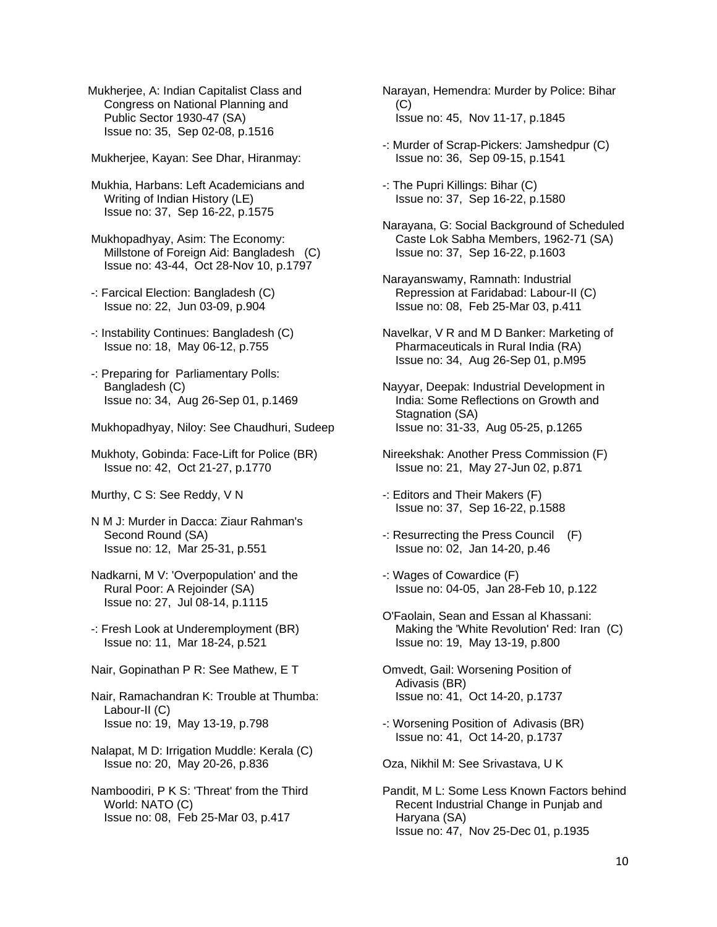Mukherjee, A: Indian Capitalist Class and Congress on National Planning and Public Sector 1930-47 (SA) Issue no: 35, Sep 02-08, p.1516

Mukherjee, Kayan: See Dhar, Hiranmay:

 Mukhia, Harbans: Left Academicians and Writing of Indian History (LE) Issue no: 37, Sep 16-22, p.1575

 Mukhopadhyay, Asim: The Economy: Millstone of Foreign Aid: Bangladesh (C) Issue no: 43-44, Oct 28-Nov 10, p.1797

- -: Farcical Election: Bangladesh (C) Issue no: 22, Jun 03-09, p.904
- -: Instability Continues: Bangladesh (C) Issue no: 18, May 06-12, p.755
- -: Preparing for Parliamentary Polls: Bangladesh (C) Issue no: 34, Aug 26-Sep 01, p.1469
- Mukhopadhyay, Niloy: See Chaudhuri, Sudeep

 Mukhoty, Gobinda: Face-Lift for Police (BR) Issue no: 42, Oct 21-27, p.1770

Murthy, C S: See Reddy, V N

 N M J: Murder in Dacca: Ziaur Rahman's Second Round (SA) Issue no: 12, Mar 25-31, p.551

- Nadkarni, M V: 'Overpopulation' and the Rural Poor: A Rejoinder (SA) Issue no: 27, Jul 08-14, p.1115
- -: Fresh Look at Underemployment (BR) Issue no: 11, Mar 18-24, p.521
- Nair, Gopinathan P R: See Mathew, E T
- Nair, Ramachandran K: Trouble at Thumba: Labour-II (C) Issue no: 19, May 13-19, p.798
- Nalapat, M D: Irrigation Muddle: Kerala (C) Issue no: 20, May 20-26, p.836
- Namboodiri, P K S: 'Threat' from the Third World: NATO (C) Issue no: 08, Feb 25-Mar 03, p.417
- Narayan, Hemendra: Murder by Police: Bihar  $(C)$ Issue no: 45, Nov 11-17, p.1845
- -: Murder of Scrap-Pickers: Jamshedpur (C) Issue no: 36, Sep 09-15, p.1541
- -: The Pupri Killings: Bihar (C) Issue no: 37, Sep 16-22, p.1580
- Narayana, G: Social Background of Scheduled Caste Lok Sabha Members, 1962-71 (SA) Issue no: 37, Sep 16-22, p.1603
- Narayanswamy, Ramnath: Industrial Repression at Faridabad: Labour-II (C) Issue no: 08, Feb 25-Mar 03, p.411
- Navelkar, V R and M D Banker: Marketing of Pharmaceuticals in Rural India (RA) Issue no: 34, Aug 26-Sep 01, p.M95
- Nayyar, Deepak: Industrial Development in India: Some Reflections on Growth and Stagnation (SA) Issue no: 31-33, Aug 05-25, p.1265
- Nireekshak: Another Press Commission (F) Issue no: 21, May 27-Jun 02, p.871
- -: Editors and Their Makers (F) Issue no: 37, Sep 16-22, p.1588
- -: Resurrecting the Press Council (F) Issue no: 02, Jan 14-20, p.46
- -: Wages of Cowardice (F) Issue no: 04-05, Jan 28-Feb 10, p.122
- O'Faolain, Sean and Essan al Khassani: Making the 'White Revolution' Red: Iran (C) Issue no: 19, May 13-19, p.800
- Omvedt, Gail: Worsening Position of Adivasis (BR) Issue no: 41, Oct 14-20, p.1737
- -: Worsening Position of Adivasis (BR) Issue no: 41, Oct 14-20, p.1737

Oza, Nikhil M: See Srivastava, U K

 Pandit, M L: Some Less Known Factors behind Recent Industrial Change in Punjab and Haryana (SA) Issue no: 47, Nov 25-Dec 01, p.1935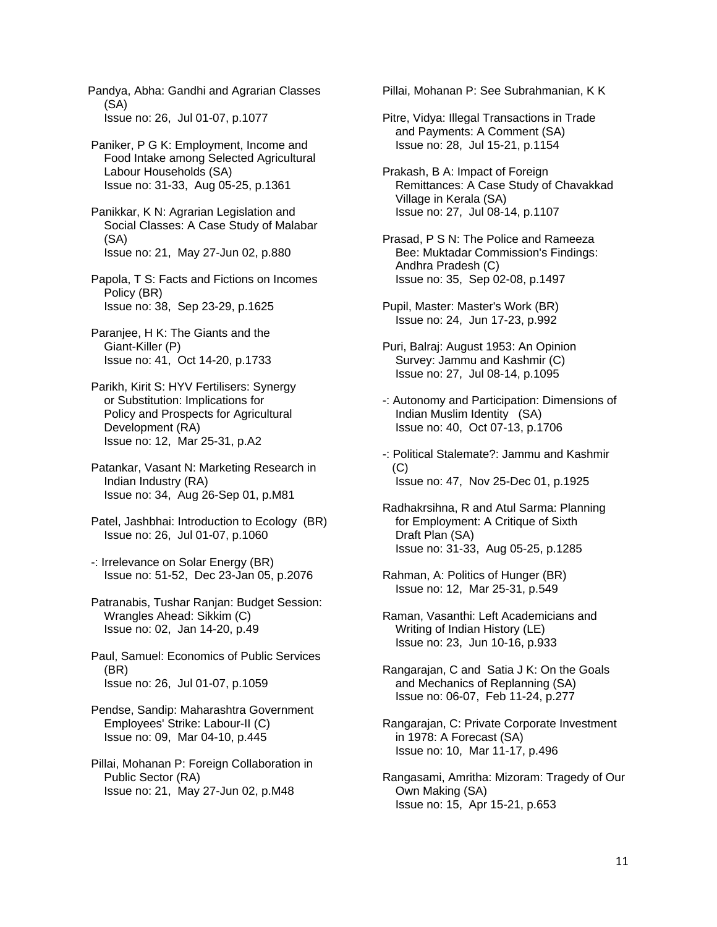Pandya, Abha: Gandhi and Agrarian Classes (SA) Issue no: 26, Jul 01-07, p.1077

 Paniker, P G K: Employment, Income and Food Intake among Selected Agricultural Labour Households (SA) Issue no: 31-33, Aug 05-25, p.1361

 Panikkar, K N: Agrarian Legislation and Social Classes: A Case Study of Malabar (SA) Issue no: 21, May 27-Jun 02, p.880

 Papola, T S: Facts and Fictions on Incomes Policy (BR) Issue no: 38, Sep 23-29, p.1625

 Paranjee, H K: The Giants and the Giant-Killer (P) Issue no: 41, Oct 14-20, p.1733

 Parikh, Kirit S: HYV Fertilisers: Synergy or Substitution: Implications for Policy and Prospects for Agricultural Development (RA) Issue no: 12, Mar 25-31, p.A2

 Patankar, Vasant N: Marketing Research in Indian Industry (RA) Issue no: 34, Aug 26-Sep 01, p.M81

 Patel, Jashbhai: Introduction to Ecology (BR) Issue no: 26, Jul 01-07, p.1060

 -: Irrelevance on Solar Energy (BR) Issue no: 51-52, Dec 23-Jan 05, p.2076

 Patranabis, Tushar Ranjan: Budget Session: Wrangles Ahead: Sikkim (C) Issue no: 02, Jan 14-20, p.49

 Paul, Samuel: Economics of Public Services (BR) Issue no: 26, Jul 01-07, p.1059

 Pendse, Sandip: Maharashtra Government Employees' Strike: Labour-II (C) Issue no: 09, Mar 04-10, p.445

 Pillai, Mohanan P: Foreign Collaboration in Public Sector (RA) Issue no: 21, May 27-Jun 02, p.M48

Pillai, Mohanan P: See Subrahmanian, K K

 Pitre, Vidya: Illegal Transactions in Trade and Payments: A Comment (SA) Issue no: 28, Jul 15-21, p.1154

 Prakash, B A: Impact of Foreign Remittances: A Case Study of Chavakkad Village in Kerala (SA) Issue no: 27, Jul 08-14, p.1107

 Prasad, P S N: The Police and Rameeza Bee: Muktadar Commission's Findings: Andhra Pradesh (C) Issue no: 35, Sep 02-08, p.1497

 Pupil, Master: Master's Work (BR) Issue no: 24, Jun 17-23, p.992

 Puri, Balraj: August 1953: An Opinion Survey: Jammu and Kashmir (C) Issue no: 27, Jul 08-14, p.1095

 -: Autonomy and Participation: Dimensions of Indian Muslim Identity (SA) Issue no: 40, Oct 07-13, p.1706

 -: Political Stalemate?: Jammu and Kashmir (C) Issue no: 47, Nov 25-Dec 01, p.1925

 Radhakrsihna, R and Atul Sarma: Planning for Employment: A Critique of Sixth Draft Plan (SA) Issue no: 31-33, Aug 05-25, p.1285

 Rahman, A: Politics of Hunger (BR) Issue no: 12, Mar 25-31, p.549

 Raman, Vasanthi: Left Academicians and Writing of Indian History (LE) Issue no: 23, Jun 10-16, p.933

 Rangarajan, C and Satia J K: On the Goals and Mechanics of Replanning (SA) Issue no: 06-07, Feb 11-24, p.277

 Rangarajan, C: Private Corporate Investment in 1978: A Forecast (SA) Issue no: 10, Mar 11-17, p.496

 Rangasami, Amritha: Mizoram: Tragedy of Our Own Making (SA) Issue no: 15, Apr 15-21, p.653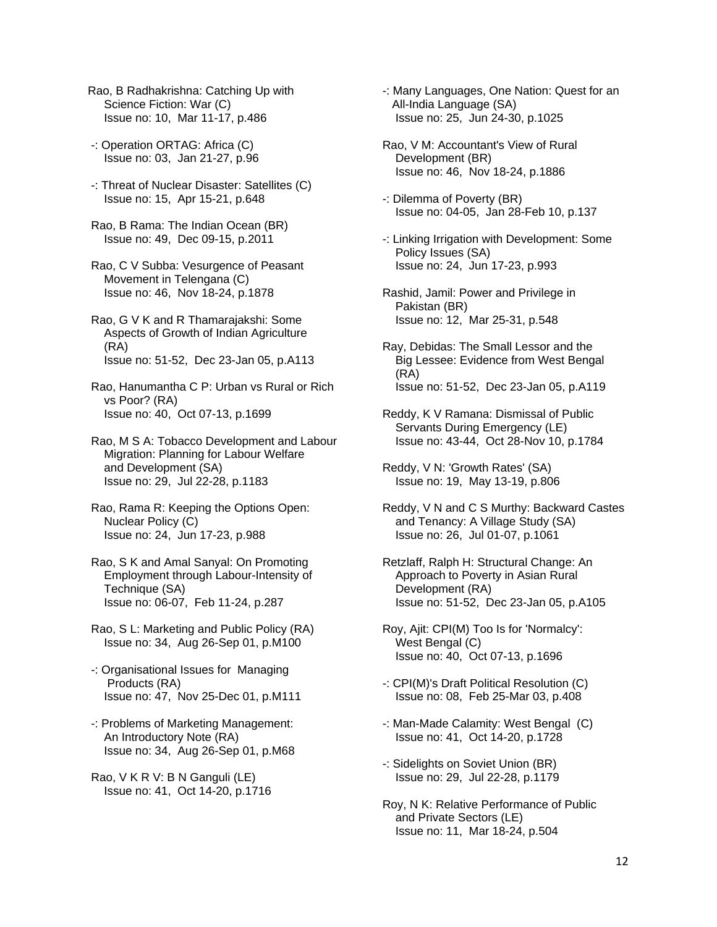- Rao, B Radhakrishna: Catching Up with Science Fiction: War (C) Issue no: 10, Mar 11-17, p.486
- -: Operation ORTAG: Africa (C) Issue no: 03, Jan 21-27, p.96
- -: Threat of Nuclear Disaster: Satellites (C) Issue no: 15, Apr 15-21, p.648
- Rao, B Rama: The Indian Ocean (BR) Issue no: 49, Dec 09-15, p.2011
- Rao, C V Subba: Vesurgence of Peasant Movement in Telengana (C) Issue no: 46, Nov 18-24, p.1878
- Rao, G V K and R Thamarajakshi: Some Aspects of Growth of Indian Agriculture (RA) Issue no: 51-52, Dec 23-Jan 05, p.A113
- Rao, Hanumantha C P: Urban vs Rural or Rich vs Poor? (RA) Issue no: 40, Oct 07-13, p.1699
- Rao, M S A: Tobacco Development and Labour Migration: Planning for Labour Welfare and Development (SA) Issue no: 29, Jul 22-28, p.1183
- Rao, Rama R: Keeping the Options Open: Nuclear Policy (C) Issue no: 24, Jun 17-23, p.988
- Rao, S K and Amal Sanyal: On Promoting Employment through Labour-Intensity of Technique (SA) Issue no: 06-07, Feb 11-24, p.287
- Rao, S L: Marketing and Public Policy (RA) Issue no: 34, Aug 26-Sep 01, p.M100
- -: Organisational Issues for Managing Products (RA) Issue no: 47, Nov 25-Dec 01, p.M111
- -: Problems of Marketing Management: An Introductory Note (RA) Issue no: 34, Aug 26-Sep 01, p.M68
- Rao, V K R V: B N Ganguli (LE) Issue no: 41, Oct 14-20, p.1716
- -: Many Languages, One Nation: Quest for an All-India Language (SA) Issue no: 25, Jun 24-30, p.1025
- Rao, V M: Accountant's View of Rural Development (BR) Issue no: 46, Nov 18-24, p.1886
- -: Dilemma of Poverty (BR) Issue no: 04-05, Jan 28-Feb 10, p.137
- -: Linking Irrigation with Development: Some Policy Issues (SA) Issue no: 24, Jun 17-23, p.993
- Rashid, Jamil: Power and Privilege in Pakistan (BR) Issue no: 12, Mar 25-31, p.548
- Ray, Debidas: The Small Lessor and the Big Lessee: Evidence from West Bengal (RA) Issue no: 51-52, Dec 23-Jan 05, p.A119
- Reddy, K V Ramana: Dismissal of Public Servants During Emergency (LE) Issue no: 43-44, Oct 28-Nov 10, p.1784
- Reddy, V N: 'Growth Rates' (SA) Issue no: 19, May 13-19, p.806
- Reddy, V N and C S Murthy: Backward Castes and Tenancy: A Village Study (SA) Issue no: 26, Jul 01-07, p.1061
- Retzlaff, Ralph H: Structural Change: An Approach to Poverty in Asian Rural Development (RA) Issue no: 51-52, Dec 23-Jan 05, p.A105
- Roy, Ajit: CPI(M) Too Is for 'Normalcy': West Bengal (C) Issue no: 40, Oct 07-13, p.1696
- -: CPI(M)'s Draft Political Resolution (C) Issue no: 08, Feb 25-Mar 03, p.408
- -: Man-Made Calamity: West Bengal (C) Issue no: 41, Oct 14-20, p.1728
- -: Sidelights on Soviet Union (BR) Issue no: 29, Jul 22-28, p.1179
- Roy, N K: Relative Performance of Public and Private Sectors (LE) Issue no: 11, Mar 18-24, p.504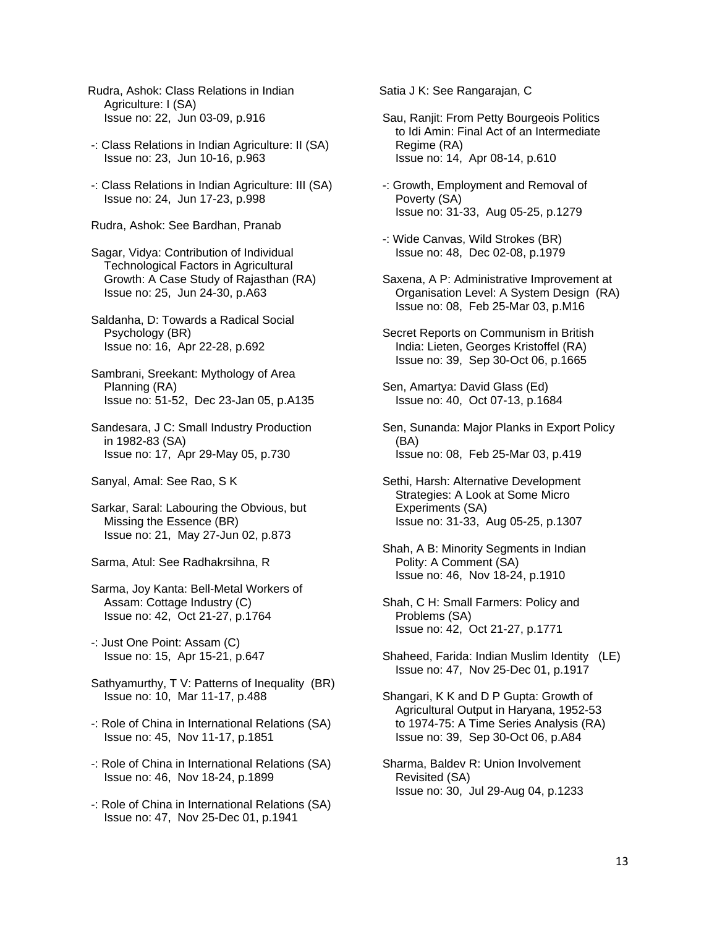- Rudra, Ashok: Class Relations in Indian Agriculture: I (SA) Issue no: 22, Jun 03-09, p.916
- -: Class Relations in Indian Agriculture: II (SA) Issue no: 23, Jun 10-16, p.963
- -: Class Relations in Indian Agriculture: III (SA) Issue no: 24, Jun 17-23, p.998
- Rudra, Ashok: See Bardhan, Pranab
- Sagar, Vidya: Contribution of Individual Technological Factors in Agricultural Growth: A Case Study of Rajasthan (RA) Issue no: 25, Jun 24-30, p.A63
- Saldanha, D: Towards a Radical Social Psychology (BR) Issue no: 16, Apr 22-28, p.692
- Sambrani, Sreekant: Mythology of Area Planning (RA) Issue no: 51-52, Dec 23-Jan 05, p.A135
- Sandesara, J C: Small Industry Production in 1982-83 (SA) Issue no: 17, Apr 29-May 05, p.730
- Sanyal, Amal: See Rao, S K
- Sarkar, Saral: Labouring the Obvious, but Missing the Essence (BR) Issue no: 21, May 27-Jun 02, p.873
- Sarma, Atul: See Radhakrsihna, R
- Sarma, Joy Kanta: Bell-Metal Workers of Assam: Cottage Industry (C) Issue no: 42, Oct 21-27, p.1764
- -: Just One Point: Assam (C) Issue no: 15, Apr 15-21, p.647
- Sathyamurthy, T V: Patterns of Inequality (BR) Issue no: 10, Mar 11-17, p.488
- -: Role of China in International Relations (SA) Issue no: 45, Nov 11-17, p.1851
- -: Role of China in International Relations (SA) Issue no: 46, Nov 18-24, p.1899
- -: Role of China in International Relations (SA) Issue no: 47, Nov 25-Dec 01, p.1941

Satia J K: See Rangarajan, C

- Sau, Ranjit: From Petty Bourgeois Politics to Idi Amin: Final Act of an Intermediate Regime (RA) Issue no: 14, Apr 08-14, p.610
- -: Growth, Employment and Removal of Poverty (SA) Issue no: 31-33, Aug 05-25, p.1279
- -: Wide Canvas, Wild Strokes (BR) Issue no: 48, Dec 02-08, p.1979
- Saxena, A P: Administrative Improvement at Organisation Level: A System Design (RA) Issue no: 08, Feb 25-Mar 03, p.M16
- Secret Reports on Communism in British India: Lieten, Georges Kristoffel (RA) Issue no: 39, Sep 30-Oct 06, p.1665
- Sen, Amartya: David Glass (Ed) Issue no: 40, Oct 07-13, p.1684
- Sen, Sunanda: Major Planks in Export Policy (BA) Issue no: 08, Feb 25-Mar 03, p.419
- Sethi, Harsh: Alternative Development Strategies: A Look at Some Micro Experiments (SA) Issue no: 31-33, Aug 05-25, p.1307
- Shah, A B: Minority Segments in Indian Polity: A Comment (SA) Issue no: 46, Nov 18-24, p.1910
- Shah, C H: Small Farmers: Policy and Problems (SA) Issue no: 42, Oct 21-27, p.1771
- Shaheed, Farida: Indian Muslim Identity (LE) Issue no: 47, Nov 25-Dec 01, p.1917
- Shangari, K K and D P Gupta: Growth of Agricultural Output in Haryana, 1952-53 to 1974-75: A Time Series Analysis (RA) Issue no: 39, Sep 30-Oct 06, p.A84
- Sharma, Baldev R: Union Involvement Revisited (SA) Issue no: 30, Jul 29-Aug 04, p.1233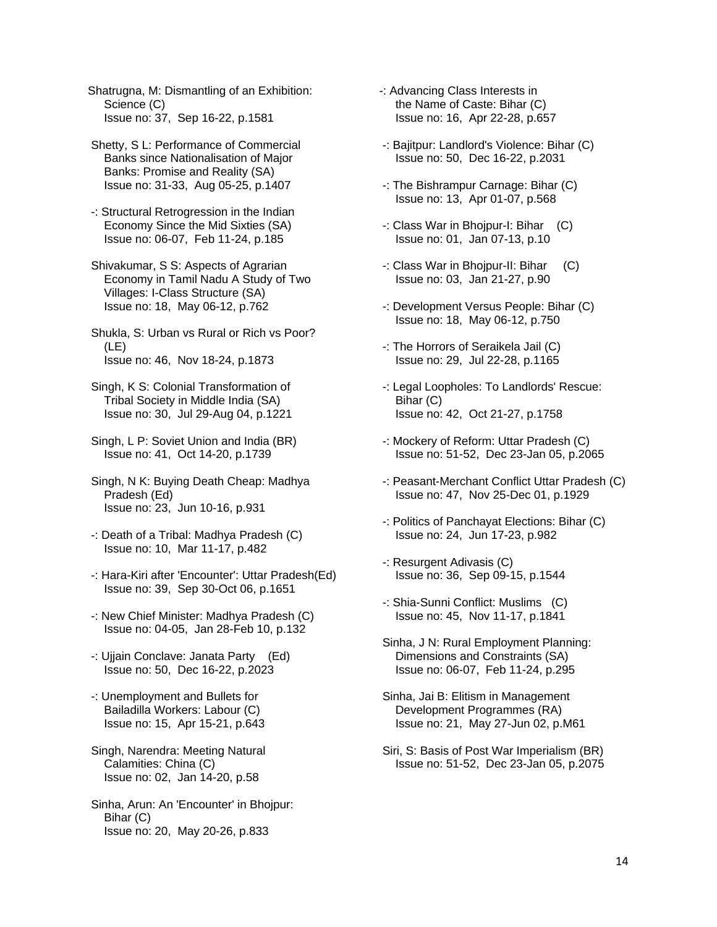Shatrugna, M: Dismantling of an Exhibition: Science (C) Issue no: 37, Sep 16-22, p.1581

- Shetty, S L: Performance of Commercial Banks since Nationalisation of Major Banks: Promise and Reality (SA) Issue no: 31-33, Aug 05-25, p.1407
- -: Structural Retrogression in the Indian Economy Since the Mid Sixties (SA) Issue no: 06-07, Feb 11-24, p.185
- Shivakumar, S S: Aspects of Agrarian Economy in Tamil Nadu A Study of Two Villages: I-Class Structure (SA) Issue no: 18, May 06-12, p.762
- Shukla, S: Urban vs Rural or Rich vs Poor? (LE) Issue no: 46, Nov 18-24, p.1873
- Singh, K S: Colonial Transformation of Tribal Society in Middle India (SA) Issue no: 30, Jul 29-Aug 04, p.1221
- Singh, L P: Soviet Union and India (BR) Issue no: 41, Oct 14-20, p.1739
- Singh, N K: Buying Death Cheap: Madhya Pradesh (Ed) Issue no: 23, Jun 10-16, p.931
- -: Death of a Tribal: Madhya Pradesh (C) Issue no: 10, Mar 11-17, p.482
- -: Hara-Kiri after 'Encounter': Uttar Pradesh(Ed) Issue no: 39, Sep 30-Oct 06, p.1651
- -: New Chief Minister: Madhya Pradesh (C) Issue no: 04-05, Jan 28-Feb 10, p.132
- -: Ujjain Conclave: Janata Party (Ed) Issue no: 50, Dec 16-22, p.2023
- -: Unemployment and Bullets for Bailadilla Workers: Labour (C) Issue no: 15, Apr 15-21, p.643
- Singh, Narendra: Meeting Natural Calamities: China (C) Issue no: 02, Jan 14-20, p.58
- Sinha, Arun: An 'Encounter' in Bhojpur: Bihar (C) Issue no: 20, May 20-26, p.833
- -: Advancing Class Interests in the Name of Caste: Bihar (C) Issue no: 16, Apr 22-28, p.657
- -: Bajitpur: Landlord's Violence: Bihar (C) Issue no: 50, Dec 16-22, p.2031
- -: The Bishrampur Carnage: Bihar (C) Issue no: 13, Apr 01-07, p.568
- -: Class War in Bhojpur-I: Bihar (C) Issue no: 01, Jan 07-13, p.10
- -: Class War in Bhojpur-II: Bihar (C) Issue no: 03, Jan 21-27, p.90
- -: Development Versus People: Bihar (C) Issue no: 18, May 06-12, p.750
- -: The Horrors of Seraikela Jail (C) Issue no: 29, Jul 22-28, p.1165
- -: Legal Loopholes: To Landlords' Rescue: Bihar (C) Issue no: 42, Oct 21-27, p.1758
- -: Mockery of Reform: Uttar Pradesh (C) Issue no: 51-52, Dec 23-Jan 05, p.2065
- -: Peasant-Merchant Conflict Uttar Pradesh (C) Issue no: 47, Nov 25-Dec 01, p.1929
- -: Politics of Panchayat Elections: Bihar (C) Issue no: 24, Jun 17-23, p.982
- -: Resurgent Adivasis (C) Issue no: 36, Sep 09-15, p.1544
- -: Shia-Sunni Conflict: Muslims (C) Issue no: 45, Nov 11-17, p.1841
- Sinha, J N: Rural Employment Planning: Dimensions and Constraints (SA) Issue no: 06-07, Feb 11-24, p.295
- Sinha, Jai B: Elitism in Management Development Programmes (RA) Issue no: 21, May 27-Jun 02, p.M61
- Siri, S: Basis of Post War Imperialism (BR) Issue no: 51-52, Dec 23-Jan 05, p.2075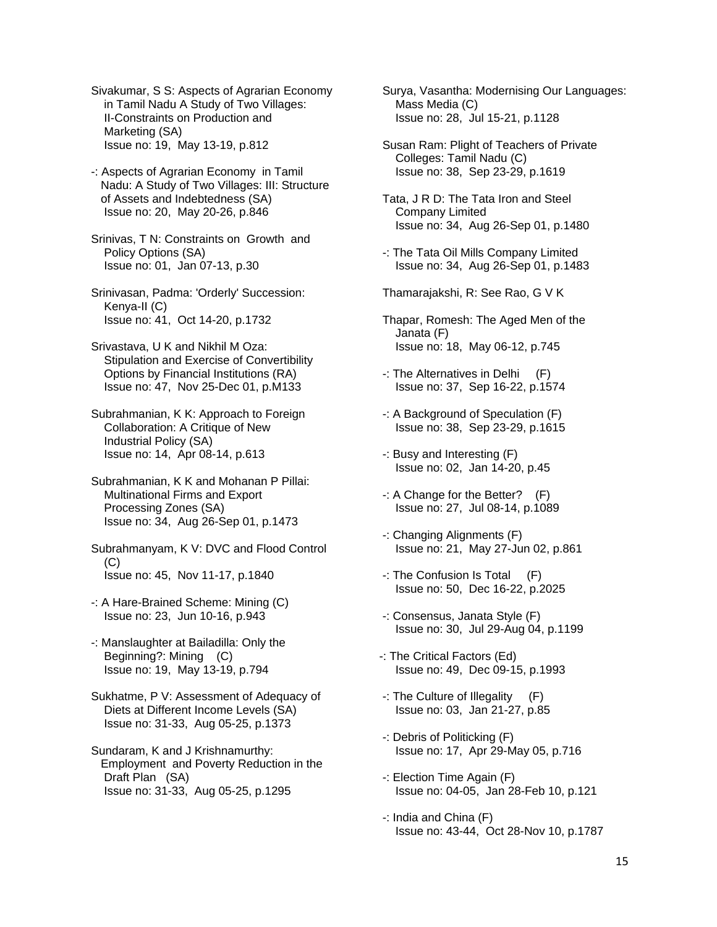Sivakumar, S S: Aspects of Agrarian Economy in Tamil Nadu A Study of Two Villages: II-Constraints on Production and Marketing (SA) Issue no: 19, May 13-19, p.812

 -: Aspects of Agrarian Economy in Tamil Nadu: A Study of Two Villages: III: Structure of Assets and Indebtedness (SA) Issue no: 20, May 20-26, p.846

 Srinivas, T N: Constraints on Growth and Policy Options (SA) Issue no: 01, Jan 07-13, p.30

 Srinivasan, Padma: 'Orderly' Succession: Kenya-II (C) Issue no: 41, Oct 14-20, p.1732

 Srivastava, U K and Nikhil M Oza: Stipulation and Exercise of Convertibility Options by Financial Institutions (RA) Issue no: 47, Nov 25-Dec 01, p.M133

 Subrahmanian, K K: Approach to Foreign Collaboration: A Critique of New Industrial Policy (SA) Issue no: 14, Apr 08-14, p.613

 Subrahmanian, K K and Mohanan P Pillai: Multinational Firms and Export Processing Zones (SA) Issue no: 34, Aug 26-Sep 01, p.1473

 Subrahmanyam, K V: DVC and Flood Control  $(C)$ Issue no: 45, Nov 11-17, p.1840

 -: A Hare-Brained Scheme: Mining (C) Issue no: 23, Jun 10-16, p.943

 -: Manslaughter at Bailadilla: Only the Beginning?: Mining (C) Issue no: 19, May 13-19, p.794

 Sukhatme, P V: Assessment of Adequacy of Diets at Different Income Levels (SA) Issue no: 31-33, Aug 05-25, p.1373

 Sundaram, K and J Krishnamurthy: Employment and Poverty Reduction in the Draft Plan (SA) Issue no: 31-33, Aug 05-25, p.1295

 Surya, Vasantha: Modernising Our Languages: Mass Media (C) Issue no: 28, Jul 15-21, p.1128

 Susan Ram: Plight of Teachers of Private Colleges: Tamil Nadu (C) Issue no: 38, Sep 23-29, p.1619

 Tata, J R D: The Tata Iron and Steel Company Limited Issue no: 34, Aug 26-Sep 01, p.1480

 -: The Tata Oil Mills Company Limited Issue no: 34, Aug 26-Sep 01, p.1483

Thamarajakshi, R: See Rao, G V K

- Thapar, Romesh: The Aged Men of the Janata (F) Issue no: 18, May 06-12, p.745
- -: The Alternatives in Delhi (F) Issue no: 37, Sep 16-22, p.1574
- -: A Background of Speculation (F) Issue no: 38, Sep 23-29, p.1615
- -: Busy and Interesting (F) Issue no: 02, Jan 14-20, p.45
- -: A Change for the Better? (F) Issue no: 27, Jul 08-14, p.1089
- -: Changing Alignments (F) Issue no: 21, May 27-Jun 02, p.861
- -: The Confusion Is Total (F) Issue no: 50, Dec 16-22, p.2025
- -: Consensus, Janata Style (F) Issue no: 30, Jul 29-Aug 04, p.1199
- -: The Critical Factors (Ed) Issue no: 49, Dec 09-15, p.1993
- -: The Culture of Illegality (F) Issue no: 03, Jan 21-27, p.85
- -: Debris of Politicking (F) Issue no: 17, Apr 29-May 05, p.716
- -: Election Time Again (F) Issue no: 04-05, Jan 28-Feb 10, p.121
- -: India and China (F) Issue no: 43-44, Oct 28-Nov 10, p.1787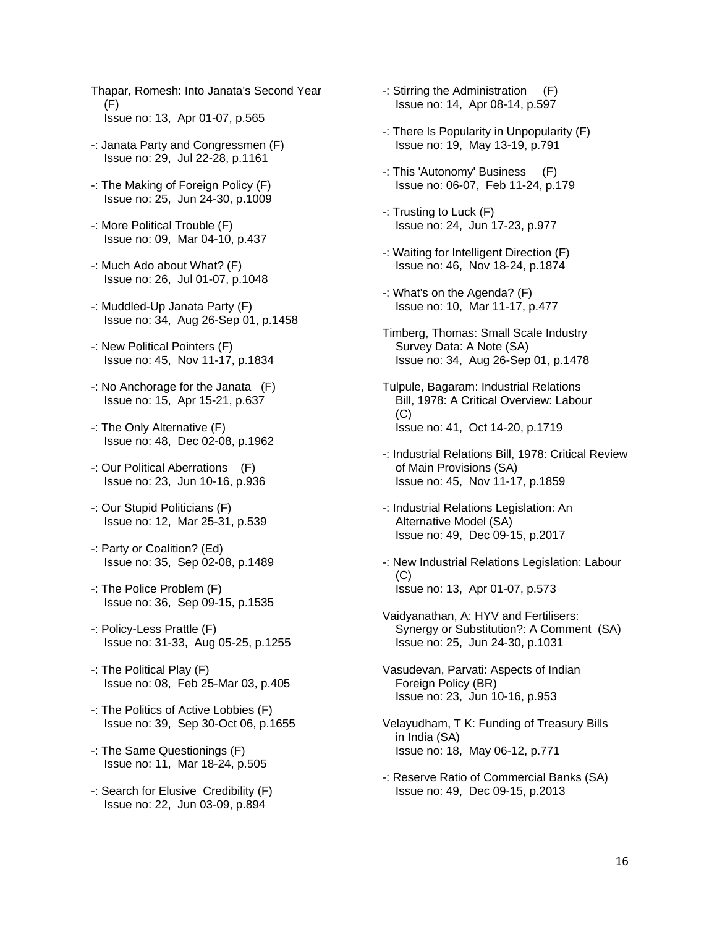- Thapar, Romesh: Into Janata's Second Year (F) Issue no: 13, Apr 01-07, p.565
- -: Janata Party and Congressmen (F) Issue no: 29, Jul 22-28, p.1161
- -: The Making of Foreign Policy (F) Issue no: 25, Jun 24-30, p.1009
- -: More Political Trouble (F) Issue no: 09, Mar 04-10, p.437
- -: Much Ado about What? (F) Issue no: 26, Jul 01-07, p.1048
- -: Muddled-Up Janata Party (F) Issue no: 34, Aug 26-Sep 01, p.1458
- -: New Political Pointers (F) Issue no: 45, Nov 11-17, p.1834
- -: No Anchorage for the Janata (F) Issue no: 15, Apr 15-21, p.637
- -: The Only Alternative (F) Issue no: 48, Dec 02-08, p.1962
- -: Our Political Aberrations (F) Issue no: 23, Jun 10-16, p.936
- -: Our Stupid Politicians (F) Issue no: 12, Mar 25-31, p.539
- -: Party or Coalition? (Ed) Issue no: 35, Sep 02-08, p.1489
- -: The Police Problem (F) Issue no: 36, Sep 09-15, p.1535
- -: Policy-Less Prattle (F) Issue no: 31-33, Aug 05-25, p.1255
- -: The Political Play (F) Issue no: 08, Feb 25-Mar 03, p.405
- -: The Politics of Active Lobbies (F) Issue no: 39, Sep 30-Oct 06, p.1655
- -: The Same Questionings (F) Issue no: 11, Mar 18-24, p.505
- -: Search for Elusive Credibility (F) Issue no: 22, Jun 03-09, p.894
- -: Stirring the Administration (F) Issue no: 14, Apr 08-14, p.597
- -: There Is Popularity in Unpopularity (F) Issue no: 19, May 13-19, p.791
- -: This 'Autonomy' Business (F) Issue no: 06-07, Feb 11-24, p.179
- -: Trusting to Luck (F) Issue no: 24, Jun 17-23, p.977
- -: Waiting for Intelligent Direction (F) Issue no: 46, Nov 18-24, p.1874
- -: What's on the Agenda? (F) Issue no: 10, Mar 11-17, p.477
- Timberg, Thomas: Small Scale Industry Survey Data: A Note (SA) Issue no: 34, Aug 26-Sep 01, p.1478
- Tulpule, Bagaram: Industrial Relations Bill, 1978: A Critical Overview: Labour  $(C)$ Issue no: 41, Oct 14-20, p.1719
- -: Industrial Relations Bill, 1978: Critical Review of Main Provisions (SA) Issue no: 45, Nov 11-17, p.1859
- -: Industrial Relations Legislation: An Alternative Model (SA) Issue no: 49, Dec 09-15, p.2017
- -: New Industrial Relations Legislation: Labour  $(C)$ Issue no: 13, Apr 01-07, p.573
- Vaidyanathan, A: HYV and Fertilisers: Synergy or Substitution?: A Comment (SA) Issue no: 25, Jun 24-30, p.1031
- Vasudevan, Parvati: Aspects of Indian Foreign Policy (BR) Issue no: 23, Jun 10-16, p.953
- Velayudham, T K: Funding of Treasury Bills in India (SA) Issue no: 18, May 06-12, p.771
- -: Reserve Ratio of Commercial Banks (SA) Issue no: 49, Dec 09-15, p.2013